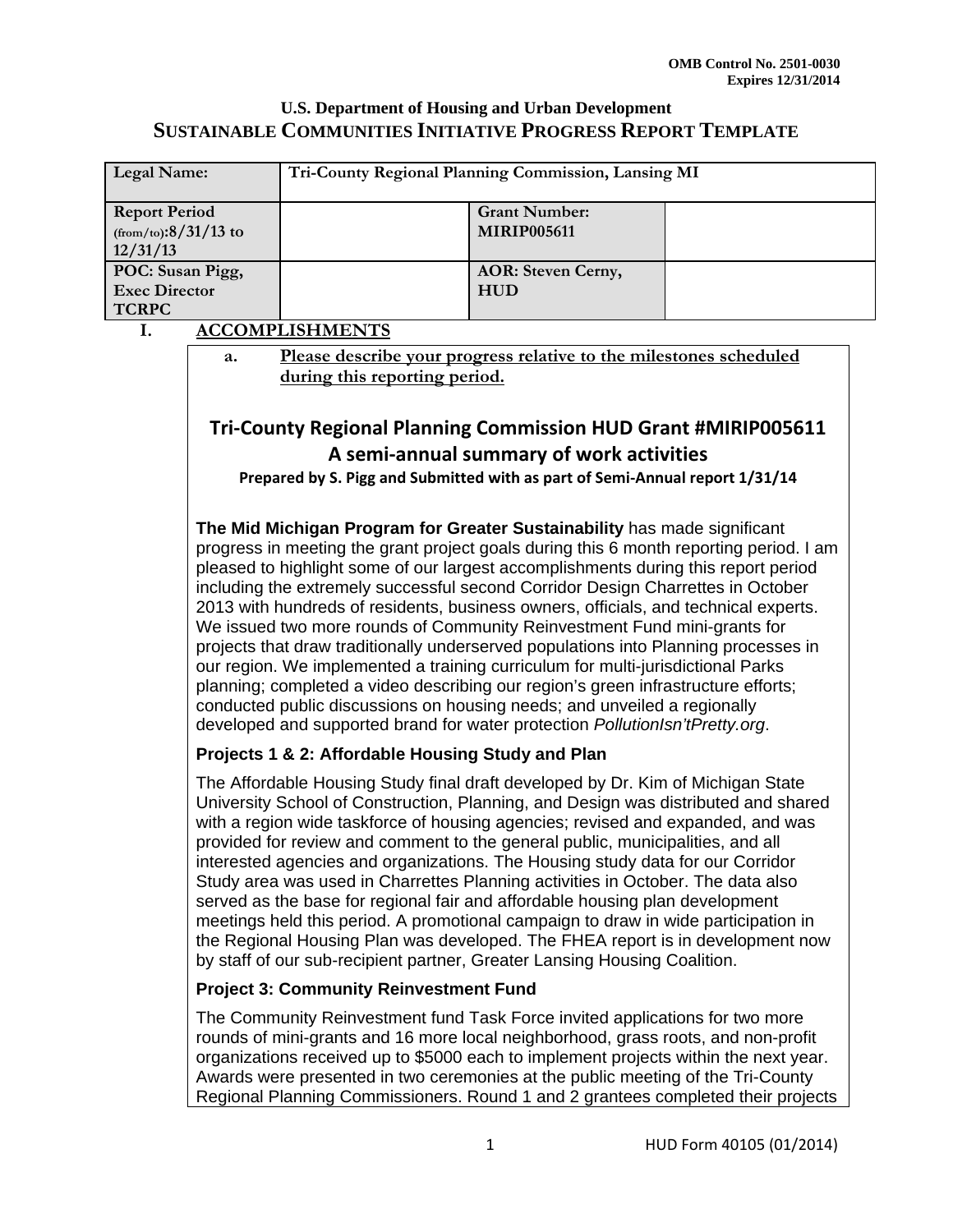| Legal Name:                                                 | Tri-County Regional Planning Commission, Lansing MI |                                            |  |
|-------------------------------------------------------------|-----------------------------------------------------|--------------------------------------------|--|
| <b>Report Period</b><br>$(from/to): 8/31/13$ to<br>12/31/13 |                                                     | <b>Grant Number:</b><br><b>MIRIP005611</b> |  |
| POC: Susan Pigg,<br><b>Exec Director</b><br><b>TCRPC</b>    |                                                     | <b>AOR: Steven Cerny,</b><br><b>HUD</b>    |  |

#### **I. ACCOMPLISHMENTS**

**a. Please describe your progress relative to the milestones scheduled during this reporting period.** 

# **Tri‐County Regional Planning Commission HUD Grant #MIRIP005611 A semi‐annual summary of work activities**

**Prepared by S. Pigg and Submitted with as part of Semi‐Annual report 1/31/14**

**The Mid Michigan Program for Greater Sustainability** has made significant progress in meeting the grant project goals during this 6 month reporting period. I am pleased to highlight some of our largest accomplishments during this report period including the extremely successful second Corridor Design Charrettes in October 2013 with hundreds of residents, business owners, officials, and technical experts. We issued two more rounds of Community Reinvestment Fund mini-grants for projects that draw traditionally underserved populations into Planning processes in our region. We implemented a training curriculum for multi-jurisdictional Parks planning; completed a video describing our region's green infrastructure efforts; conducted public discussions on housing needs; and unveiled a regionally developed and supported brand for water protection *PollutionIsn'tPretty.org*.

#### **Projects 1 & 2: Affordable Housing Study and Plan**

The Affordable Housing Study final draft developed by Dr. Kim of Michigan State University School of Construction, Planning, and Design was distributed and shared with a region wide taskforce of housing agencies; revised and expanded, and was provided for review and comment to the general public, municipalities, and all interested agencies and organizations. The Housing study data for our Corridor Study area was used in Charrettes Planning activities in October. The data also served as the base for regional fair and affordable housing plan development meetings held this period. A promotional campaign to draw in wide participation in the Regional Housing Plan was developed. The FHEA report is in development now by staff of our sub-recipient partner, Greater Lansing Housing Coalition.

#### **Project 3: Community Reinvestment Fund**

The Community Reinvestment fund Task Force invited applications for two more rounds of mini-grants and 16 more local neighborhood, grass roots, and non-profit organizations received up to \$5000 each to implement projects within the next year. Awards were presented in two ceremonies at the public meeting of the Tri-County Regional Planning Commissioners. Round 1 and 2 grantees completed their projects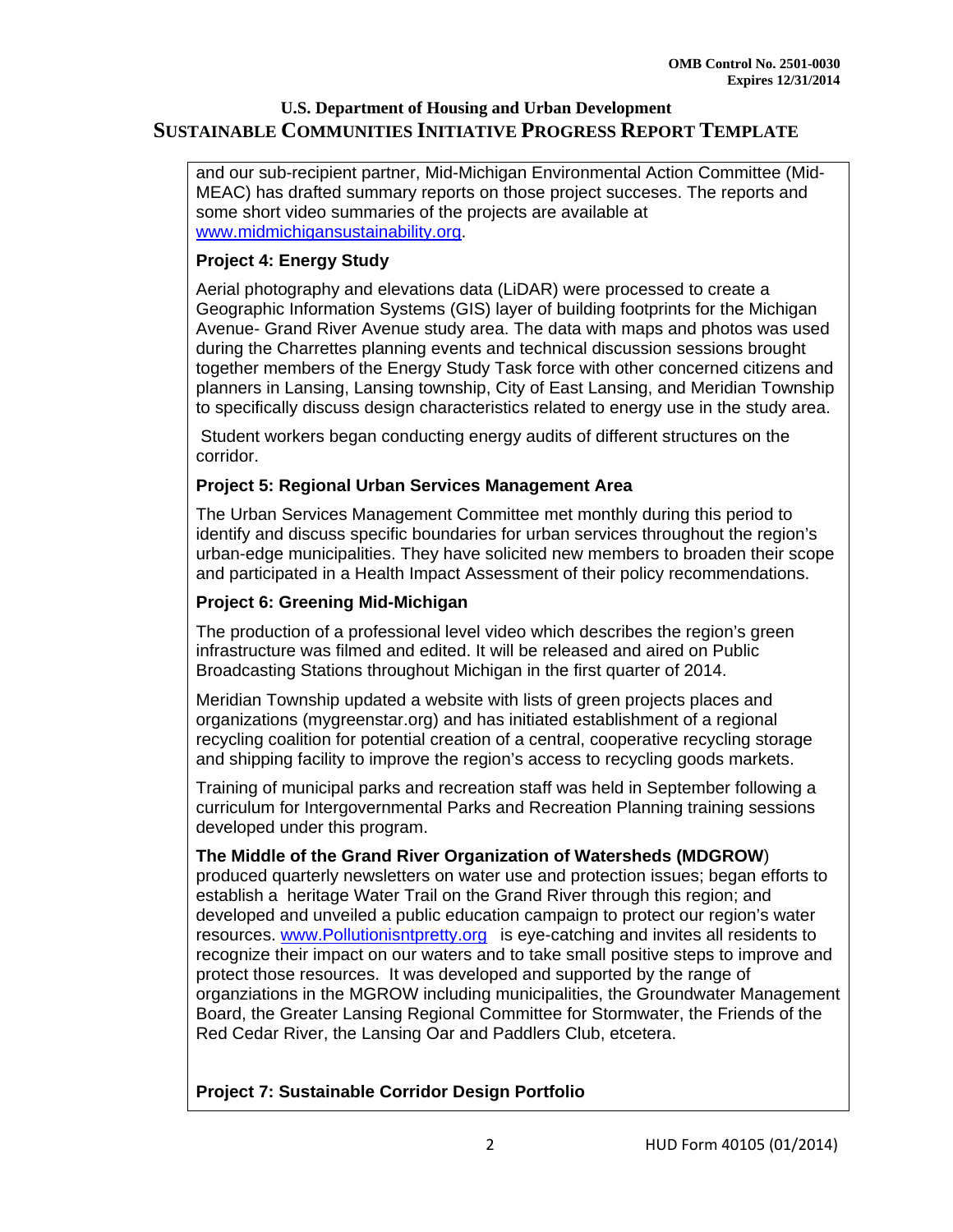and our sub-recipient partner, Mid-Michigan Environmental Action Committee (Mid-MEAC) has drafted summary reports on those project succeses. The reports and some short video summaries of the projects are available at www.midmichigansustainability.org.

# **Project 4: Energy Study**

Aerial photography and elevations data (LiDAR) were processed to create a Geographic Information Systems (GIS) layer of building footprints for the Michigan Avenue- Grand River Avenue study area. The data with maps and photos was used during the Charrettes planning events and technical discussion sessions brought together members of the Energy Study Task force with other concerned citizens and planners in Lansing, Lansing township, City of East Lansing, and Meridian Township to specifically discuss design characteristics related to energy use in the study area.

 Student workers began conducting energy audits of different structures on the corridor.

#### **Project 5: Regional Urban Services Management Area**

The Urban Services Management Committee met monthly during this period to identify and discuss specific boundaries for urban services throughout the region's urban-edge municipalities. They have solicited new members to broaden their scope and participated in a Health Impact Assessment of their policy recommendations.

# **Project 6: Greening Mid-Michigan**

The production of a professional level video which describes the region's green infrastructure was filmed and edited. It will be released and aired on Public Broadcasting Stations throughout Michigan in the first quarter of 2014.

Meridian Township updated a website with lists of green projects places and organizations (mygreenstar.org) and has initiated establishment of a regional recycling coalition for potential creation of a central, cooperative recycling storage and shipping facility to improve the region's access to recycling goods markets.

Training of municipal parks and recreation staff was held in September following a curriculum for Intergovernmental Parks and Recreation Planning training sessions developed under this program.

#### **The Middle of the Grand River Organization of Watersheds (MDGROW**)

produced quarterly newsletters on water use and protection issues; began efforts to establish a heritage Water Trail on the Grand River through this region; and developed and unveiled a public education campaign to protect our region's water resources. www.Pollutionisntpretty.org is eye-catching and invites all residents to recognize their impact on our waters and to take small positive steps to improve and protect those resources. It was developed and supported by the range of organziations in the MGROW including municipalities, the Groundwater Management Board, the Greater Lansing Regional Committee for Stormwater, the Friends of the Red Cedar River, the Lansing Oar and Paddlers Club, etcetera.

**Project 7: Sustainable Corridor Design Portfolio**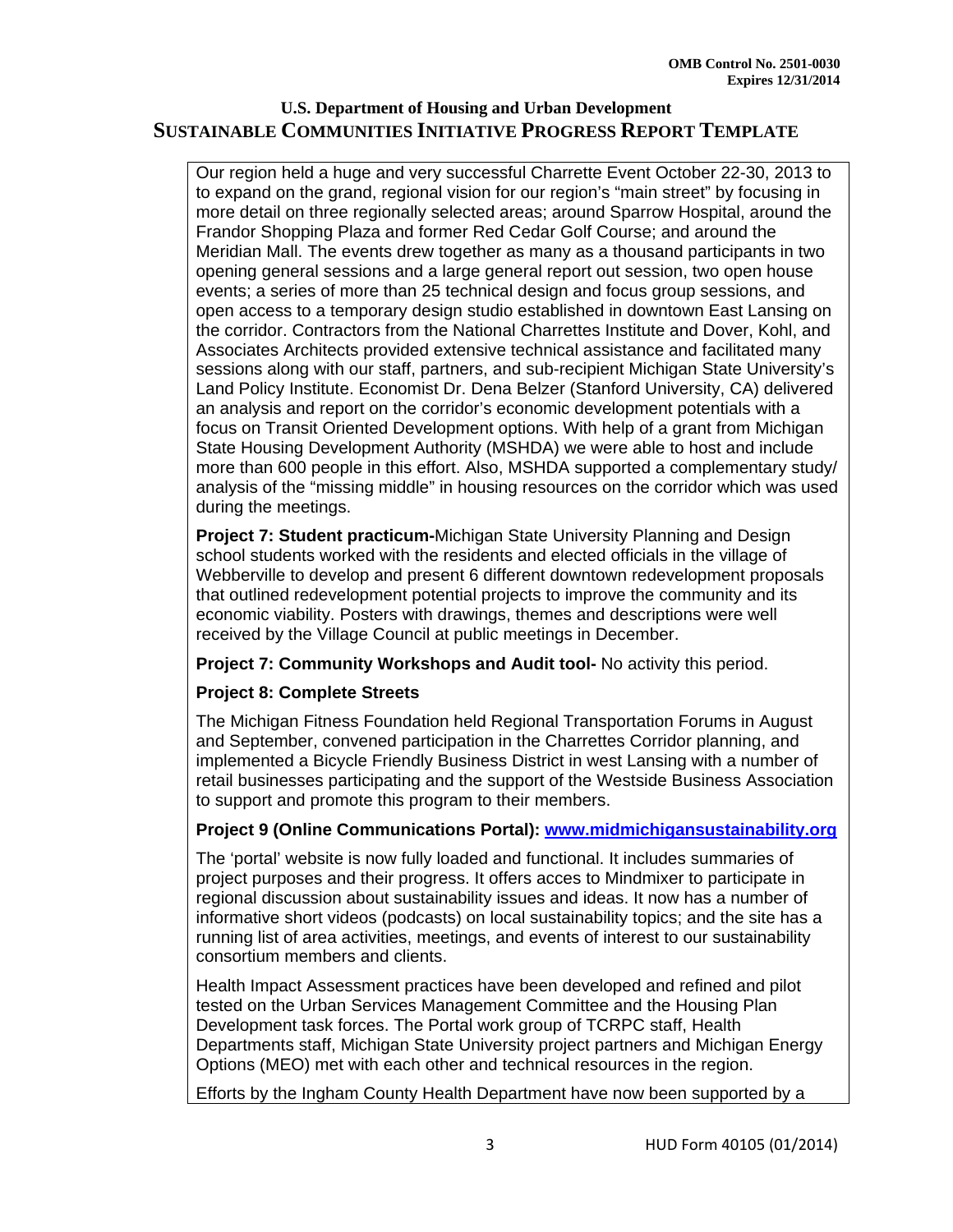Our region held a huge and very successful Charrette Event October 22-30, 2013 to to expand on the grand, regional vision for our region's "main street" by focusing in more detail on three regionally selected areas; around Sparrow Hospital, around the Frandor Shopping Plaza and former Red Cedar Golf Course; and around the Meridian Mall. The events drew together as many as a thousand participants in two opening general sessions and a large general report out session, two open house events; a series of more than 25 technical design and focus group sessions, and open access to a temporary design studio established in downtown East Lansing on the corridor. Contractors from the National Charrettes Institute and Dover, Kohl, and Associates Architects provided extensive technical assistance and facilitated many sessions along with our staff, partners, and sub-recipient Michigan State University's Land Policy Institute. Economist Dr. Dena Belzer (Stanford University, CA) delivered an analysis and report on the corridor's economic development potentials with a focus on Transit Oriented Development options. With help of a grant from Michigan State Housing Development Authority (MSHDA) we were able to host and include more than 600 people in this effort. Also, MSHDA supported a complementary study/ analysis of the "missing middle" in housing resources on the corridor which was used during the meetings.

**Project 7: Student practicum-**Michigan State University Planning and Design school students worked with the residents and elected officials in the village of Webberville to develop and present 6 different downtown redevelopment proposals that outlined redevelopment potential projects to improve the community and its economic viability. Posters with drawings, themes and descriptions were well received by the Village Council at public meetings in December.

**Project 7: Community Workshops and Audit tool-** No activity this period.

#### **Project 8: Complete Streets**

The Michigan Fitness Foundation held Regional Transportation Forums in August and September, convened participation in the Charrettes Corridor planning, and implemented a Bicycle Friendly Business District in west Lansing with a number of retail businesses participating and the support of the Westside Business Association to support and promote this program to their members.

#### **Project 9 (Online Communications Portal): www.midmichigansustainability.org**

The 'portal' website is now fully loaded and functional. It includes summaries of project purposes and their progress. It offers acces to Mindmixer to participate in regional discussion about sustainability issues and ideas. It now has a number of informative short videos (podcasts) on local sustainability topics; and the site has a running list of area activities, meetings, and events of interest to our sustainability consortium members and clients.

Health Impact Assessment practices have been developed and refined and pilot tested on the Urban Services Management Committee and the Housing Plan Development task forces. The Portal work group of TCRPC staff, Health Departments staff, Michigan State University project partners and Michigan Energy Options (MEO) met with each other and technical resources in the region.

Efforts by the Ingham County Health Department have now been supported by a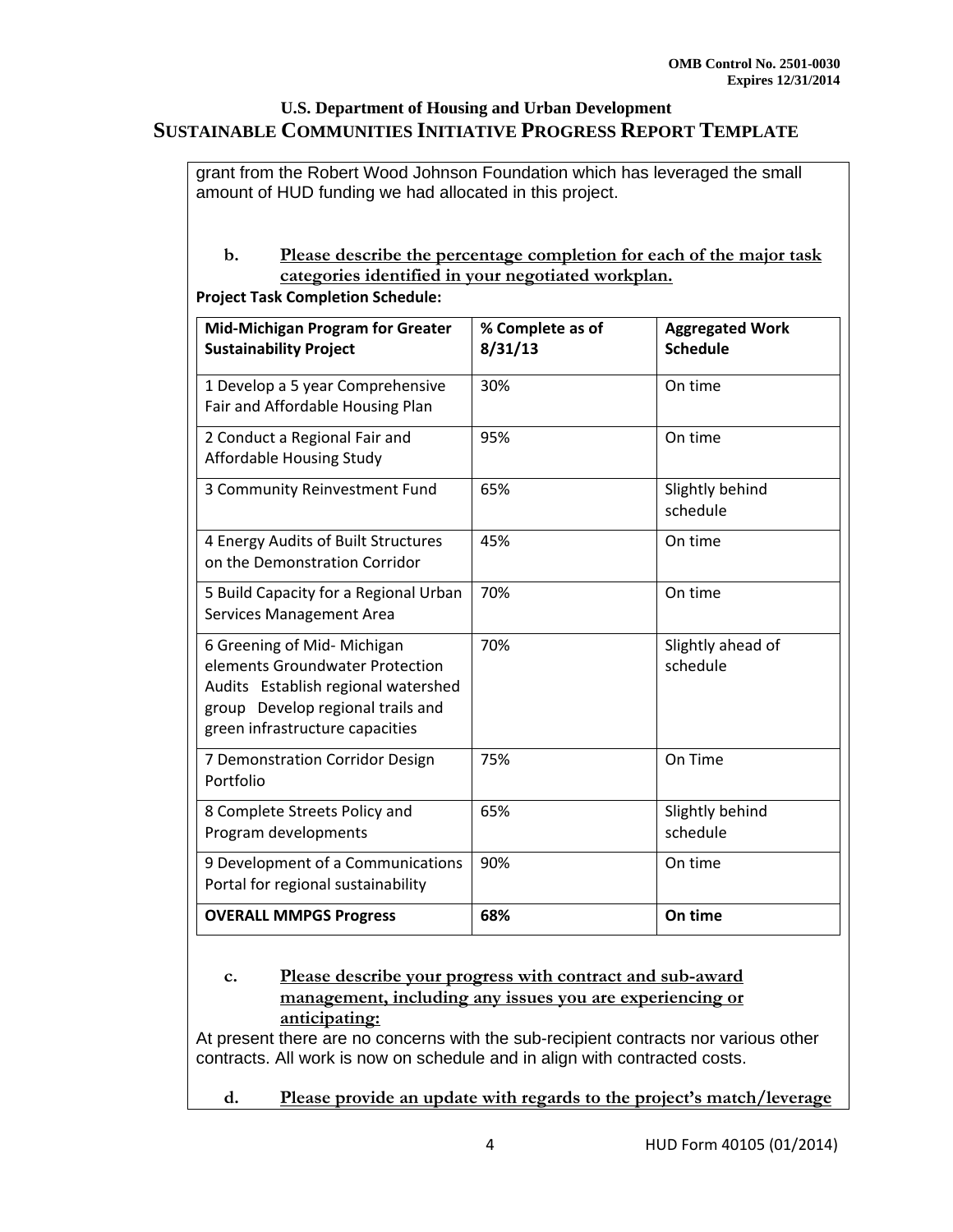grant from the Robert Wood Johnson Foundation which has leveraged the small amount of HUD funding we had allocated in this project.

#### **b. Please describe the percentage completion for each of the major task categories identified in your negotiated workplan.**

**Project Task Completion Schedule:**

| <b>Mid-Michigan Program for Greater</b><br><b>Sustainability Project</b>                                                                                                      | % Complete as of<br>8/31/13 | <b>Aggregated Work</b><br><b>Schedule</b> |
|-------------------------------------------------------------------------------------------------------------------------------------------------------------------------------|-----------------------------|-------------------------------------------|
| 1 Develop a 5 year Comprehensive<br>Fair and Affordable Housing Plan                                                                                                          | 30%                         | On time                                   |
| 2 Conduct a Regional Fair and<br>Affordable Housing Study                                                                                                                     | 95%                         | On time                                   |
| 3 Community Reinvestment Fund                                                                                                                                                 | 65%                         | Slightly behind<br>schedule               |
| 4 Energy Audits of Built Structures<br>on the Demonstration Corridor                                                                                                          | 45%                         | On time                                   |
| 5 Build Capacity for a Regional Urban<br><b>Services Management Area</b>                                                                                                      | 70%                         | On time                                   |
| 6 Greening of Mid- Michigan<br>elements Groundwater Protection<br>Audits Establish regional watershed<br>group Develop regional trails and<br>green infrastructure capacities | 70%                         | Slightly ahead of<br>schedule             |
| 7 Demonstration Corridor Design<br>Portfolio                                                                                                                                  | 75%                         | On Time                                   |
| 8 Complete Streets Policy and<br>Program developments                                                                                                                         | 65%                         | Slightly behind<br>schedule               |
| 9 Development of a Communications<br>Portal for regional sustainability                                                                                                       | 90%                         | On time                                   |
| <b>OVERALL MMPGS Progress</b>                                                                                                                                                 | 68%                         | On time                                   |

#### **c. Please describe your progress with contract and sub-award management, including any issues you are experiencing or anticipating:**

At present there are no concerns with the sub-recipient contracts nor various other contracts. All work is now on schedule and in align with contracted costs.

**d. Please provide an update with regards to the project's match/leverage**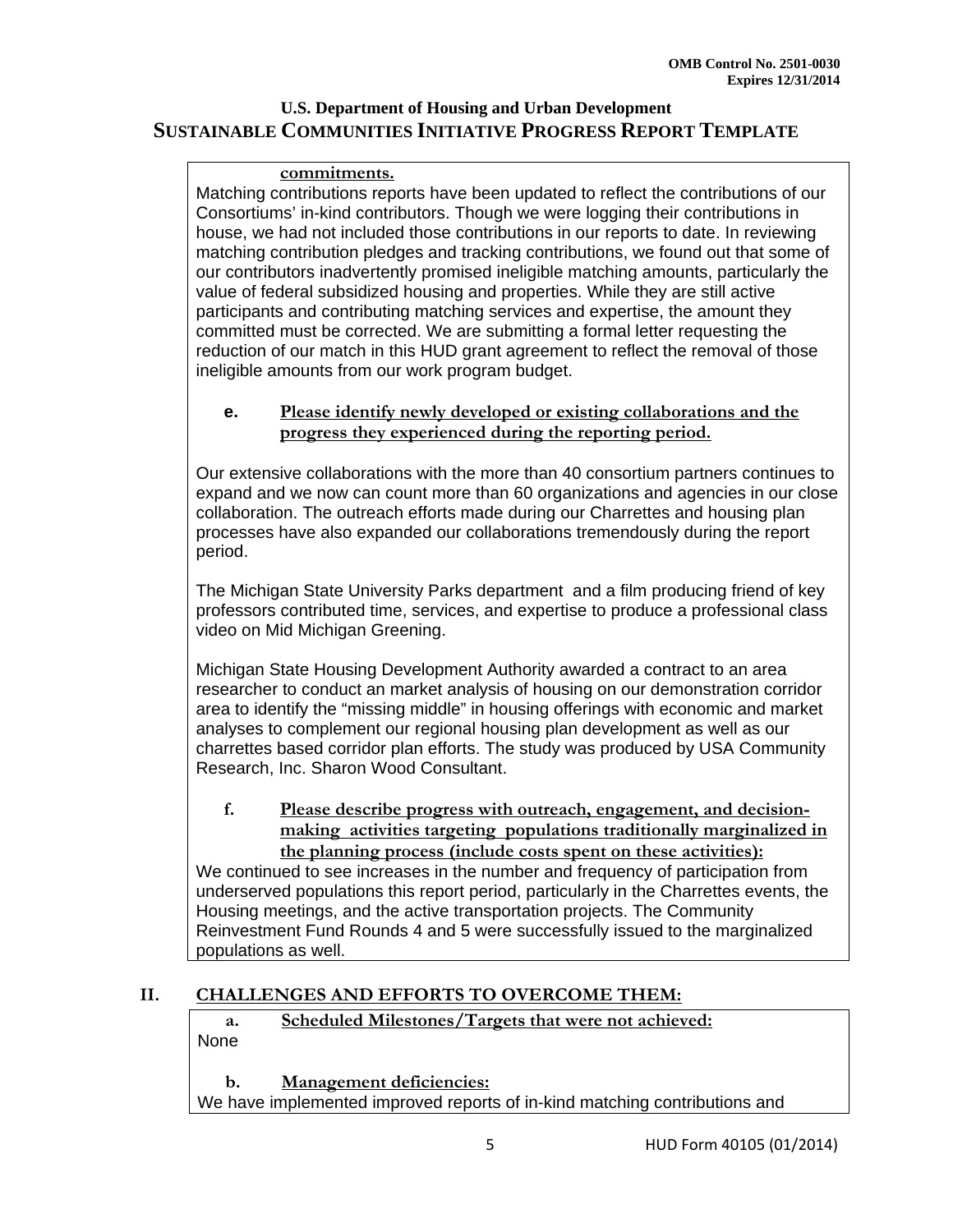#### **commitments.**

Matching contributions reports have been updated to reflect the contributions of our Consortiums' in-kind contributors. Though we were logging their contributions in house, we had not included those contributions in our reports to date. In reviewing matching contribution pledges and tracking contributions, we found out that some of our contributors inadvertently promised ineligible matching amounts, particularly the value of federal subsidized housing and properties. While they are still active participants and contributing matching services and expertise, the amount they committed must be corrected. We are submitting a formal letter requesting the reduction of our match in this HUD grant agreement to reflect the removal of those ineligible amounts from our work program budget.

#### **e. Please identify newly developed or existing collaborations and the progress they experienced during the reporting period.**

Our extensive collaborations with the more than 40 consortium partners continues to expand and we now can count more than 60 organizations and agencies in our close collaboration. The outreach efforts made during our Charrettes and housing plan processes have also expanded our collaborations tremendously during the report period.

The Michigan State University Parks department and a film producing friend of key professors contributed time, services, and expertise to produce a professional class video on Mid Michigan Greening.

Michigan State Housing Development Authority awarded a contract to an area researcher to conduct an market analysis of housing on our demonstration corridor area to identify the "missing middle" in housing offerings with economic and market analyses to complement our regional housing plan development as well as our charrettes based corridor plan efforts. The study was produced by USA Community Research, Inc. Sharon Wood Consultant.

# **f. Please describe progress with outreach, engagement, and decisionmaking activities targeting populations traditionally marginalized in the planning process (include costs spent on these activities):**

We continued to see increases in the number and frequency of participation from underserved populations this report period, particularly in the Charrettes events, the Housing meetings, and the active transportation projects. The Community Reinvestment Fund Rounds 4 and 5 were successfully issued to the marginalized populations as well.

# **II. CHALLENGES AND EFFORTS TO OVERCOME THEM:**

**a. Scheduled Milestones/Targets that were not achieved:**  None

**b. Management deficiencies:**  We have implemented improved reports of in-kind matching contributions and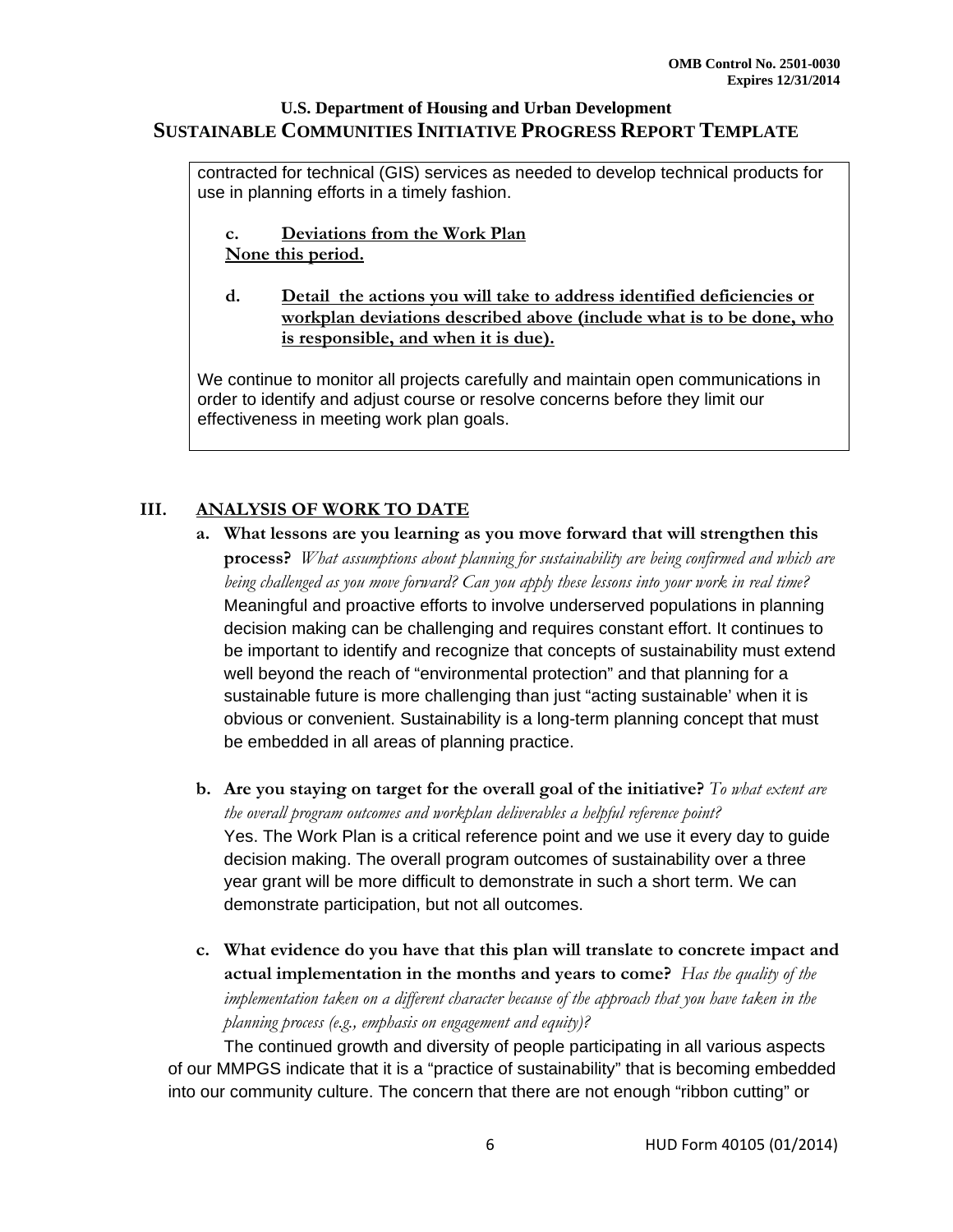contracted for technical (GIS) services as needed to develop technical products for use in planning efforts in a timely fashion.

- **c. Deviations from the Work Plan None this period.**
- **d. Detail the actions you will take to address identified deficiencies or workplan deviations described above (include what is to be done, who is responsible, and when it is due).**

We continue to monitor all projects carefully and maintain open communications in order to identify and adjust course or resolve concerns before they limit our effectiveness in meeting work plan goals.

# **III. ANALYSIS OF WORK TO DATE**

- **a. What lessons are you learning as you move forward that will strengthen this process?** *What assumptions about planning for sustainability are being confirmed and which are being challenged as you move forward? Can you apply these lessons into your work in real time?* Meaningful and proactive efforts to involve underserved populations in planning decision making can be challenging and requires constant effort. It continues to be important to identify and recognize that concepts of sustainability must extend well beyond the reach of "environmental protection" and that planning for a sustainable future is more challenging than just "acting sustainable' when it is obvious or convenient. Sustainability is a long-term planning concept that must be embedded in all areas of planning practice.
- **b. Are you staying on target for the overall goal of the initiative?** *To what extent are the overall program outcomes and workplan deliverables a helpful reference point?* Yes. The Work Plan is a critical reference point and we use it every day to guide decision making. The overall program outcomes of sustainability over a three year grant will be more difficult to demonstrate in such a short term. We can demonstrate participation, but not all outcomes.
- **c. What evidence do you have that this plan will translate to concrete impact and actual implementation in the months and years to come?** *Has the quality of the implementation taken on a different character because of the approach that you have taken in the planning process (e.g., emphasis on engagement and equity)?*

The continued growth and diversity of people participating in all various aspects of our MMPGS indicate that it is a "practice of sustainability" that is becoming embedded into our community culture. The concern that there are not enough "ribbon cutting" or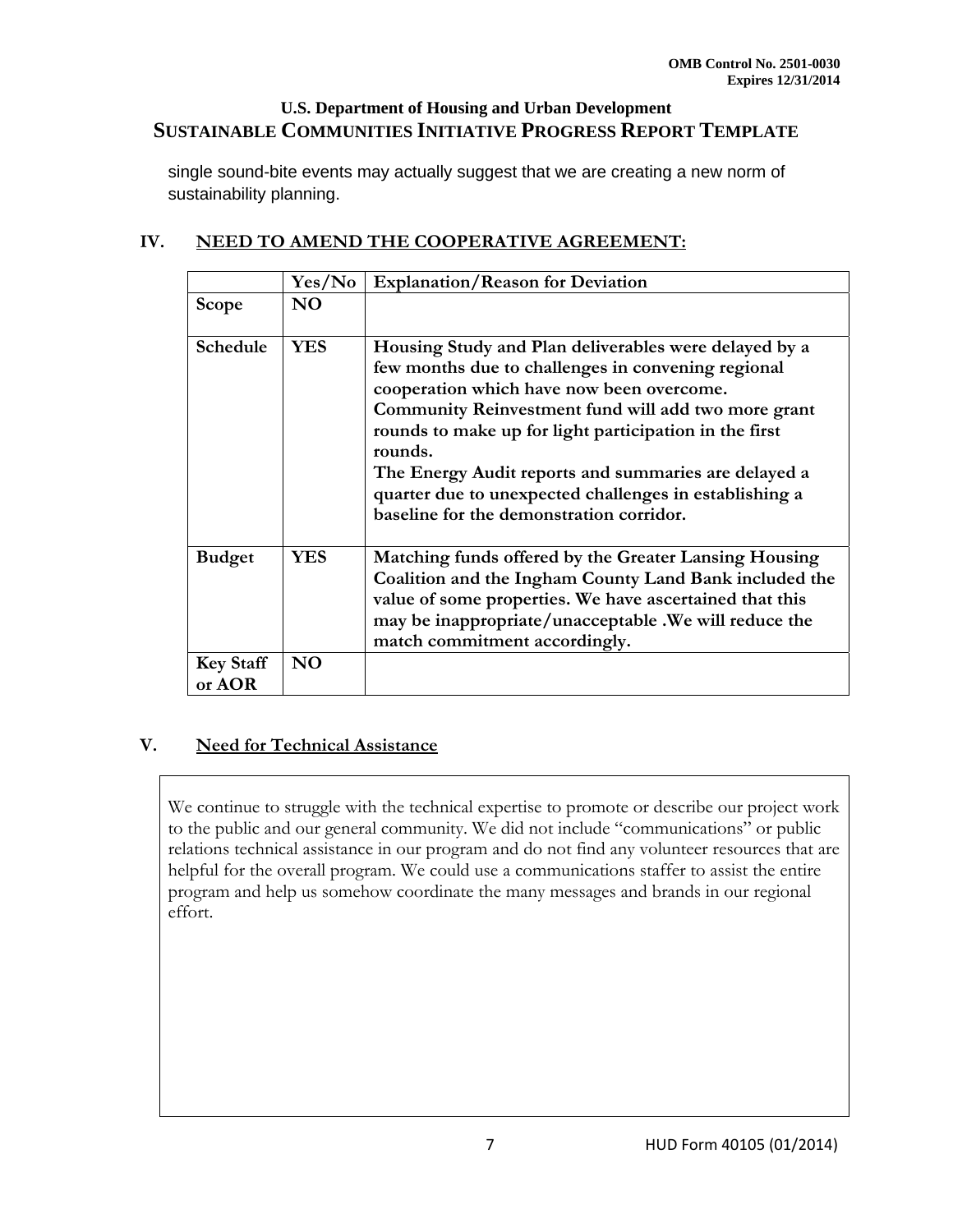single sound-bite events may actually suggest that we are creating a new norm of sustainability planning.

|                            | Yes/No         | <b>Explanation/Reason for Deviation</b>                                                                                                                                                                                                                                                                                                                                                                                                            |
|----------------------------|----------------|----------------------------------------------------------------------------------------------------------------------------------------------------------------------------------------------------------------------------------------------------------------------------------------------------------------------------------------------------------------------------------------------------------------------------------------------------|
| <b>Scope</b>               | N <sub>O</sub> |                                                                                                                                                                                                                                                                                                                                                                                                                                                    |
| Schedule                   | <b>YES</b>     | Housing Study and Plan deliverables were delayed by a<br>few months due to challenges in convening regional<br>cooperation which have now been overcome.<br>Community Reinvestment fund will add two more grant<br>rounds to make up for light participation in the first<br>rounds.<br>The Energy Audit reports and summaries are delayed a<br>quarter due to unexpected challenges in establishing a<br>baseline for the demonstration corridor. |
| <b>Budget</b>              | <b>YES</b>     | Matching funds offered by the Greater Lansing Housing<br>Coalition and the Ingham County Land Bank included the<br>value of some properties. We have ascertained that this<br>may be inappropriate/unacceptable . We will reduce the<br>match commitment accordingly.                                                                                                                                                                              |
| <b>Key Staff</b><br>or AOR | <b>NO</b>      |                                                                                                                                                                                                                                                                                                                                                                                                                                                    |

# **IV. NEED TO AMEND THE COOPERATIVE AGREEMENT:**

#### **V. Need for Technical Assistance**

We continue to struggle with the technical expertise to promote or describe our project work to the public and our general community. We did not include "communications" or public relations technical assistance in our program and do not find any volunteer resources that are helpful for the overall program. We could use a communications staffer to assist the entire program and help us somehow coordinate the many messages and brands in our regional effort.